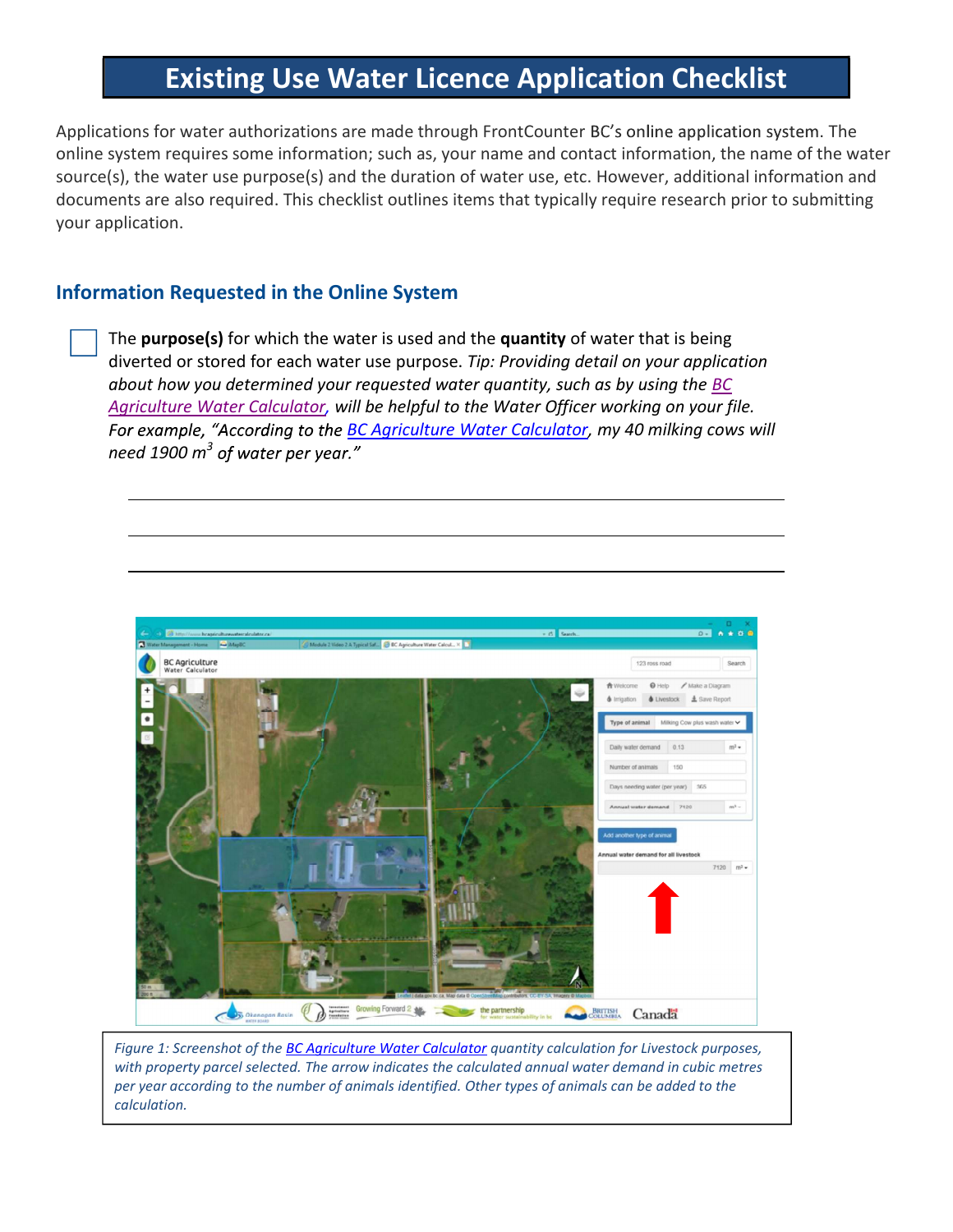# Existing Use Water Licence Application Checklist

Applications for water authorizations are made through FrontCounter BC's online application system. The online system requires some information; such as, your name and contact information, the name of the water source(s), the water use purpose(s) and the duration of water use, etc. However, additional information and documents are also required. This checklist outlines items that typically require research prior to submitting your application.

## Information Requested in the Online System

The purpose(s) for which the water is used and the quantity of water that is being diverted or stored for each water use purpose. Tip: Providing detail on your application about how you determined your requested water quantity, such as by using the  $\underline{BC}$ Agriculture Water Calculator, will be helpful to the Water Officer working on your file. For example, "According to the BC Agriculture Water Calculator, my 40 milking cows will need 1900  $m^3$  of water per year."



Figure 1: Screenshot of the **BC Agriculture Water Calculator** quantity calculation for Livestock purposes, with property parcel selected. The arrow indicates the calculated annual water demand in cubic metres per year according to the number of animals identified. Other types of animals can be added to the calculation.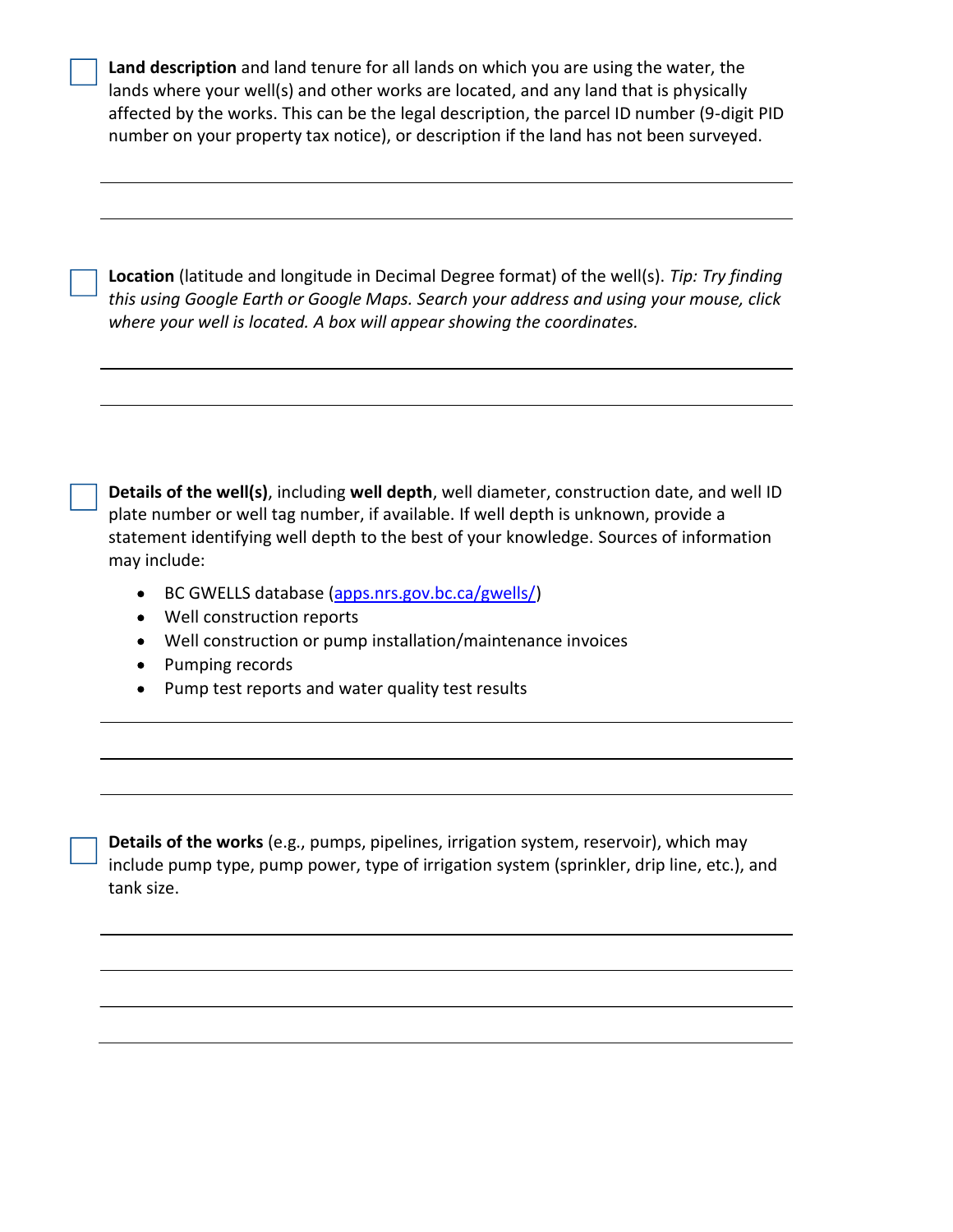| Land description and land tenure for all lands on which you are using the water, the        |
|---------------------------------------------------------------------------------------------|
| lands where your well(s) and other works are located, and any land that is physically       |
| affected by the works. This can be the legal description, the parcel ID number (9-digit PID |
| number on your property tax notice), or description if the land has not been surveyed.      |

Location (latitude and longitude in Decimal Degree format) of the well(s). Tip: Try finding this using Google Earth or Google Maps. Search your address and using your mouse, click where your well is located. A box will appear showing the coordinates.

Details of the well(s), including well depth, well diameter, construction date, and well ID plate number or well tag number, if available. If well depth is unknown, provide a statement identifying well depth to the best of your knowledge. Sources of information may include:

- BC GWELLS database (apps.nrs.gov.bc.ca/gwells/)
- Well construction reports
- Well construction or pump installation/maintenance invoices
- Pumping records
- Pump test reports and water quality test results

Details of the works (e.g., pumps, pipelines, irrigation system, reservoir), which may include pump type, pump power, type of irrigation system (sprinkler, drip line, etc.), and tank size.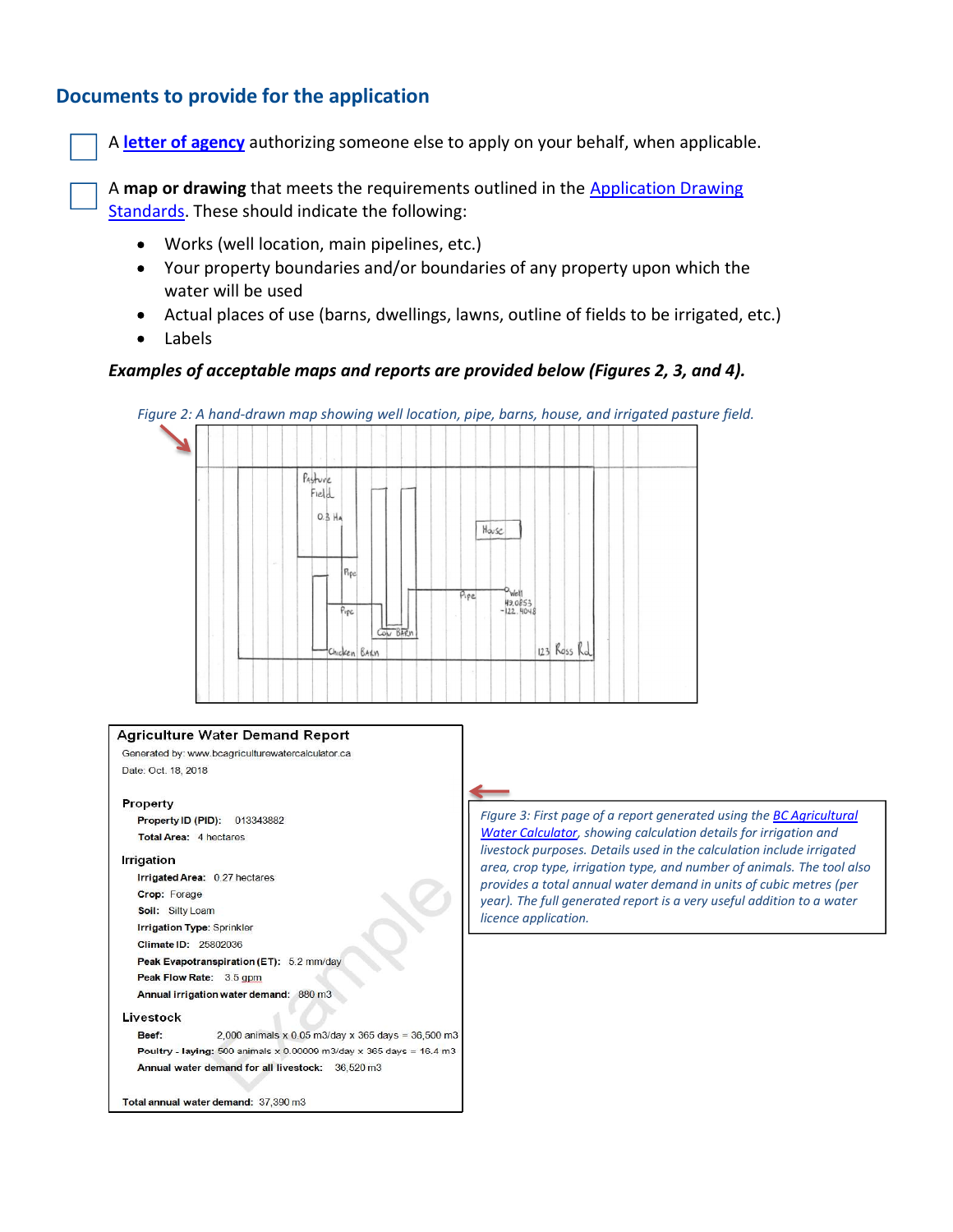A letter of agency authorizing someone else to apply on your behalf, when applicable.

**Documents to provide for the application**<br>A letter of agency authorizing someone else to apply on your behalf, when applicable.<br>A map or drawing that meets the requirements outlined in the Application Drawing<br>Standards. T A map or drawing that meets the requirements outlined in the Application Drawing Standards. These should indicate the following:

- Works (well location, main pipelines, etc.)
- Your property boundaries and/or boundaries of any property upon which the water will be used
- Actual places of use (barns, dwellings, lawns, outline of fields to be irrigated, etc.)  $\bullet$
- Labels  $\bullet$

#### Examples of acceptable maps and reports are provided below (Figures 2, 3, and 4).

Figure 2: A hand-drawn map showing well location, pipe, barns, house, and irrigated pasture field.



#### **Agriculture Water Demand Report** Generated by: www.bcagriculturewatercalculator.ca Date: Oct. 18, 2018 Property Property ID (PID): 013343882 Total Area: 4 hectares Irrigation Irrigated Area: 0.27 hectares Crop: Forage Soil: Silty Loam Irrigation Type: Sprinkler Climate ID: 25802036 Peak Evapotranspiration (ET): 5.2 mm/day Peak Flow Rate: 3.5 gpm Annual irrigation water demand: 880 m3 Livestock 2,000 animals x 0.05 m3/day x 365 days =  $36,500$  m3 Beef: Poultry - laying: 500 animals x 0.00009 m3/day x 365 days = 16.4 m3 Annual water demand for all livestock: 36,520 m3 Total annual water demand: 37,390 m3

Figure 3: First page of a report generated using the BC Agricultural Water Calculator, showing calculation details for irrigation and area, crop type, irrigation type, and number of animals. The tool also provides a total annual water demand in units of cubic metres (per year). The full generated report is a very useful addition to a water licence application.